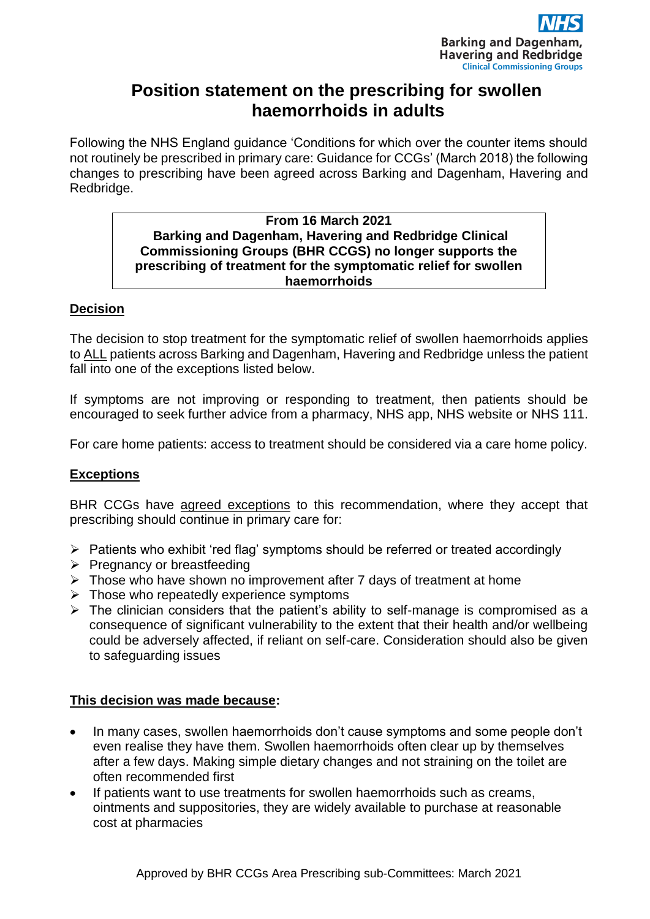

# **Position statement on the prescribing for swollen haemorrhoids in adults**

Following the NHS England guidance 'Conditions for which over the counter items should not routinely be prescribed in primary care: Guidance for CCGs' (March 2018) the following changes to prescribing have been agreed across Barking and Dagenham, Havering and Redbridge.

#### **From 16 March 2021 Barking and Dagenham, Havering and Redbridge Clinical Commissioning Groups (BHR CCGS) no longer supports the prescribing of treatment for the symptomatic relief for swollen haemorrhoids**

## **Decision**

The decision to stop treatment for the symptomatic relief of swollen haemorrhoids applies to ALL patients across Barking and Dagenham, Havering and Redbridge unless the patient fall into one of the exceptions listed below.

If symptoms are not improving or responding to treatment, then patients should be encouraged to seek further advice from a pharmacy, NHS app, NHS website or NHS 111.

For care home patients: access to treatment should be considered via a care home policy.

## **Exceptions**

BHR CCGs have agreed exceptions to this recommendation, where they accept that prescribing should continue in primary care for:

- ➢ Patients who exhibit 'red flag' symptoms should be referred or treated accordingly
- ➢ Pregnancy or breastfeeding
- ➢ Those who have shown no improvement after 7 days of treatment at home
- $\triangleright$  Those who repeatedly experience symptoms
- $\triangleright$  The clinician considers that the patient's ability to self-manage is compromised as a consequence of significant vulnerability to the extent that their health and/or wellbeing could be adversely affected, if reliant on self-care. Consideration should also be given to safeguarding issues

## **This decision was made because:**

- In many cases, swollen haemorrhoids don't cause symptoms and some people don't even realise they have them. Swollen haemorrhoids often clear up by themselves after a few days. Making simple dietary changes and not straining on the toilet are often recommended first
- If patients want to use treatments for swollen haemorrhoids such as creams, ointments and suppositories, they are widely available to purchase at reasonable cost at pharmacies